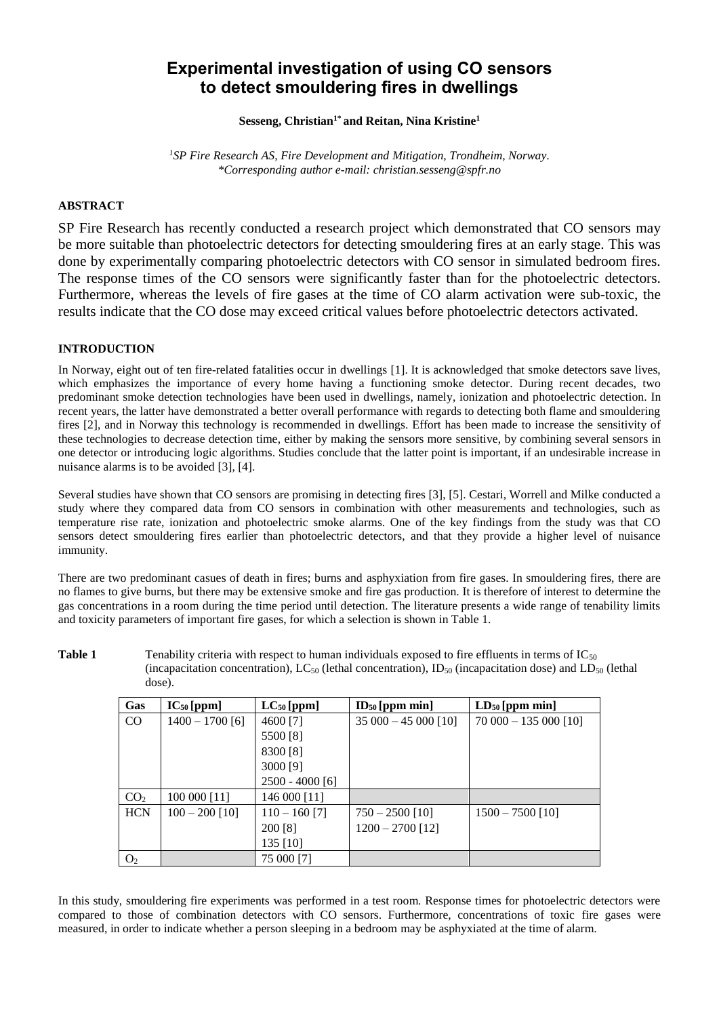# **Experimental investigation of using CO sensors to detect smouldering fires in dwellings**

**Sesseng, Christian1\* and Reitan, Nina Kristine<sup>1</sup>**

*<sup>1</sup>SP Fire Research AS, Fire Development and Mitigation, Trondheim, Norway. \*Corresponding author e-mail: christian.sesseng@spfr.no*

# **ABSTRACT**

SP Fire Research has recently conducted a research project which demonstrated that CO sensors may be more suitable than photoelectric detectors for detecting smouldering fires at an early stage. This was done by experimentally comparing photoelectric detectors with CO sensor in simulated bedroom fires. The response times of the CO sensors were significantly faster than for the photoelectric detectors. Furthermore, whereas the levels of fire gases at the time of CO alarm activation were sub-toxic, the results indicate that the CO dose may exceed critical values before photoelectric detectors activated.

## **INTRODUCTION**

In Norway, eight out of ten fire-related fatalities occur in dwellings [1]. It is acknowledged that smoke detectors save lives, which emphasizes the importance of every home having a functioning smoke detector. During recent decades, two predominant smoke detection technologies have been used in dwellings, namely, ionization and photoelectric detection. In recent years, the latter have demonstrated a better overall performance with regards to detecting both flame and smouldering fires [2], and in Norway this technology is recommended in dwellings. Effort has been made to increase the sensitivity of these technologies to decrease detection time, either by making the sensors more sensitive, by combining several sensors in one detector or introducing logic algorithms. Studies conclude that the latter point is important, if an undesirable increase in nuisance alarms is to be avoided [3], [4].

Several studies have shown that CO sensors are promising in detecting fires [3], [5]. Cestari, Worrell and Milke conducted a study where they compared data from CO sensors in combination with other measurements and technologies, such as temperature rise rate, ionization and photoelectric smoke alarms. One of the key findings from the study was that CO sensors detect smouldering fires earlier than photoelectric detectors, and that they provide a higher level of nuisance immunity.

There are two predominant casues of death in fires; burns and asphyxiation from fire gases. In smouldering fires, there are no flames to give burns, but there may be extensive smoke and fire gas production. It is therefore of interest to determine the gas concentrations in a room during the time period until detection. The literature presents a wide range of tenability limits and toxicity parameters of important fire gases, for which a selection is shown in Table 1.

**Table 1** Tenability criteria with respect to human individuals exposed to fire effluents in terms of IC<sub>50</sub> (incapacitation concentration),  $LC_{50}$  (lethal concentration),  $ID_{50}$  (incapacitation dose) and  $LD_{50}$  (lethal dose).

| Gas             | $IC_{50}$ [ppm]   | $LC_{50}$ [ppm]   | $ID50$ [ppm min]     | $LD50$ [ppm min]      |  |
|-----------------|-------------------|-------------------|----------------------|-----------------------|--|
| CO              | $1400 - 1700$ [6] | 4600 [7]          | $35000 - 45000$ [10] | $70000 - 135000$ [10] |  |
|                 |                   | 5500 [8]          |                      |                       |  |
|                 |                   | 8300 [8]          |                      |                       |  |
|                 |                   | 3000 [9]          |                      |                       |  |
|                 |                   | $2500 - 4000$ [6] |                      |                       |  |
| CO <sub>2</sub> | 100 000 [11]      | 146 000 [11]      |                      |                       |  |
| <b>HCN</b>      | $100 - 200$ [10]  | $110 - 160$ [7]   | $750 - 2500$ [10]    | $1500 - 7500$ [10]    |  |
|                 |                   | 200 [8]           | $1200 - 2700$ [12]   |                       |  |
|                 |                   | 135 [10]          |                      |                       |  |
| O <sub>2</sub>  |                   | 75 000 [7]        |                      |                       |  |

In this study, smouldering fire experiments was performed in a test room. Response times for photoelectric detectors were compared to those of combination detectors with CO sensors. Furthermore, concentrations of toxic fire gases were measured, in order to indicate whether a person sleeping in a bedroom may be asphyxiated at the time of alarm.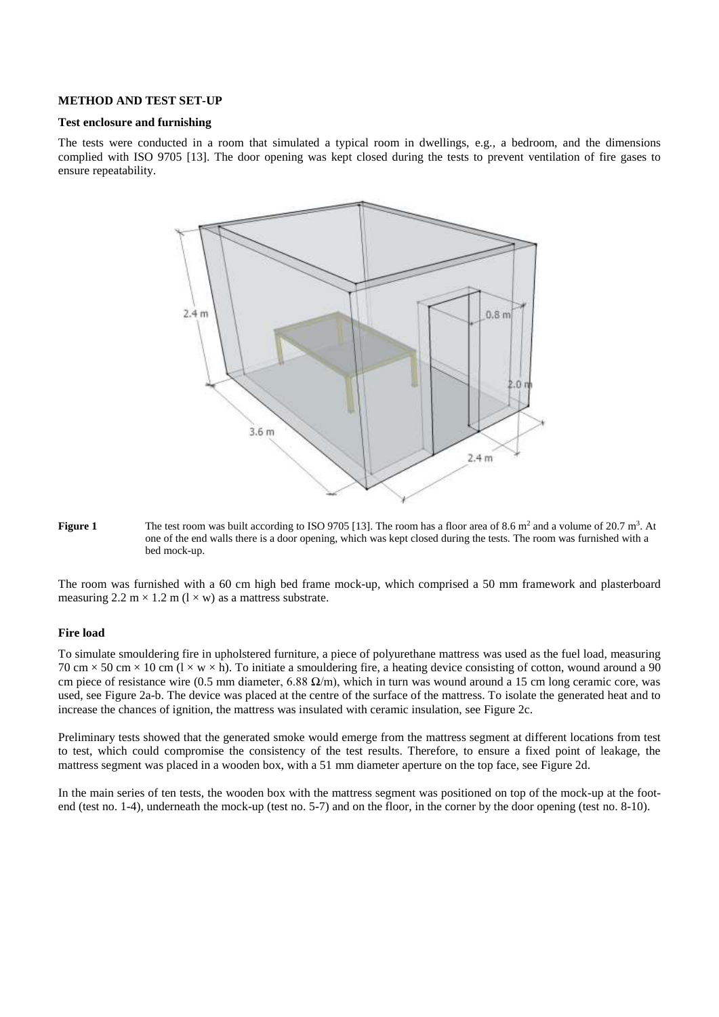#### **METHOD AND TEST SET-UP**

#### **Test enclosure and furnishing**

The tests were conducted in a room that simulated a typical room in dwellings, e.g., a bedroom, and the dimensions complied with ISO 9705 [13]. The door opening was kept closed during the tests to prevent ventilation of fire gases to ensure repeatability.



**Figure 1** The test room was built according to ISO 9705 [13]. The room has a floor area of 8.6 m<sup>2</sup> and a volume of 20.7 m<sup>3</sup>. At one of the end walls there is a door opening, which was kept closed during the tests. The room was furnished with a bed mock-up.

The room was furnished with a 60 cm high bed frame mock-up, which comprised a 50 mm framework and plasterboard measuring  $2.2 \text{ m} \times 1.2 \text{ m}$  ( $1 \times \text{w}$ ) as a mattress substrate.

# **Fire load**

To simulate smouldering fire in upholstered furniture, a piece of polyurethane mattress was used as the fuel load, measuring 70 cm  $\times$  50 cm  $\times$  10 cm (1  $\times$  w  $\times$  h). To initiate a smouldering fire, a heating device consisting of cotton, wound around a 90 cm piece of resistance wire (0.5 mm diameter, 6.88  $\Omega/m$ ), which in turn was wound around a 15 cm long ceramic core, was used, see [Figure 2a](#page-2-0)-b. The device was placed at the centre of the surface of the mattress. To isolate the generated heat and to increase the chances of ignition, the mattress was insulated with ceramic insulation, se[e Figure 2c](#page-2-0).

Preliminary tests showed that the generated smoke would emerge from the mattress segment at different locations from test to test, which could compromise the consistency of the test results. Therefore, to ensure a fixed point of leakage, the mattress segment was placed in a wooden box, with a 51 mm diameter aperture on the top face, see [Figure 2d](#page-2-0).

In the main series of ten tests, the wooden box with the mattress segment was positioned on top of the mock-up at the footend (test no. 1-4), underneath the mock-up (test no. 5-7) and on the floor, in the corner by the door opening (test no. 8-10).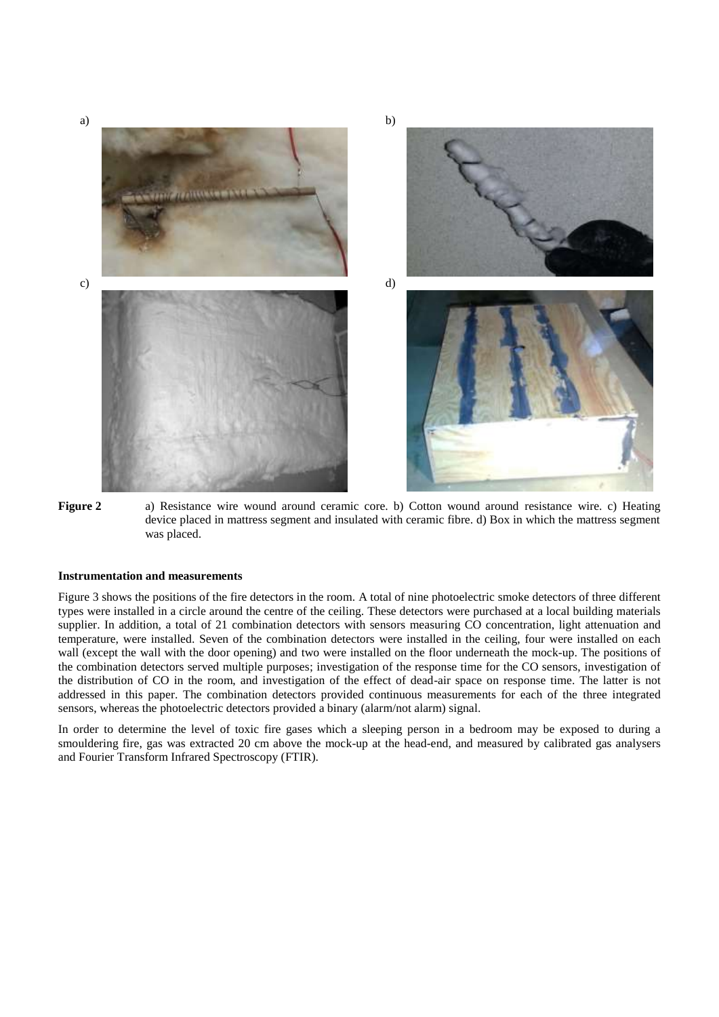

<span id="page-2-0"></span>

#### **Instrumentation and measurements**

Figure 3 shows the positions of the fire detectors in the room. A total of nine photoelectric smoke detectors of three different types were installed in a circle around the centre of the ceiling. These detectors were purchased at a local building materials supplier. In addition, a total of 21 combination detectors with sensors measuring CO concentration, light attenuation and temperature, were installed. Seven of the combination detectors were installed in the ceiling, four were installed on each wall (except the wall with the door opening) and two were installed on the floor underneath the mock-up. The positions of the combination detectors served multiple purposes; investigation of the response time for the CO sensors, investigation of the distribution of CO in the room, and investigation of the effect of dead-air space on response time. The latter is not addressed in this paper. The combination detectors provided continuous measurements for each of the three integrated sensors, whereas the photoelectric detectors provided a binary (alarm/not alarm) signal.

In order to determine the level of toxic fire gases which a sleeping person in a bedroom may be exposed to during a smouldering fire, gas was extracted 20 cm above the mock-up at the head-end, and measured by calibrated gas analysers and Fourier Transform Infrared Spectroscopy (FTIR).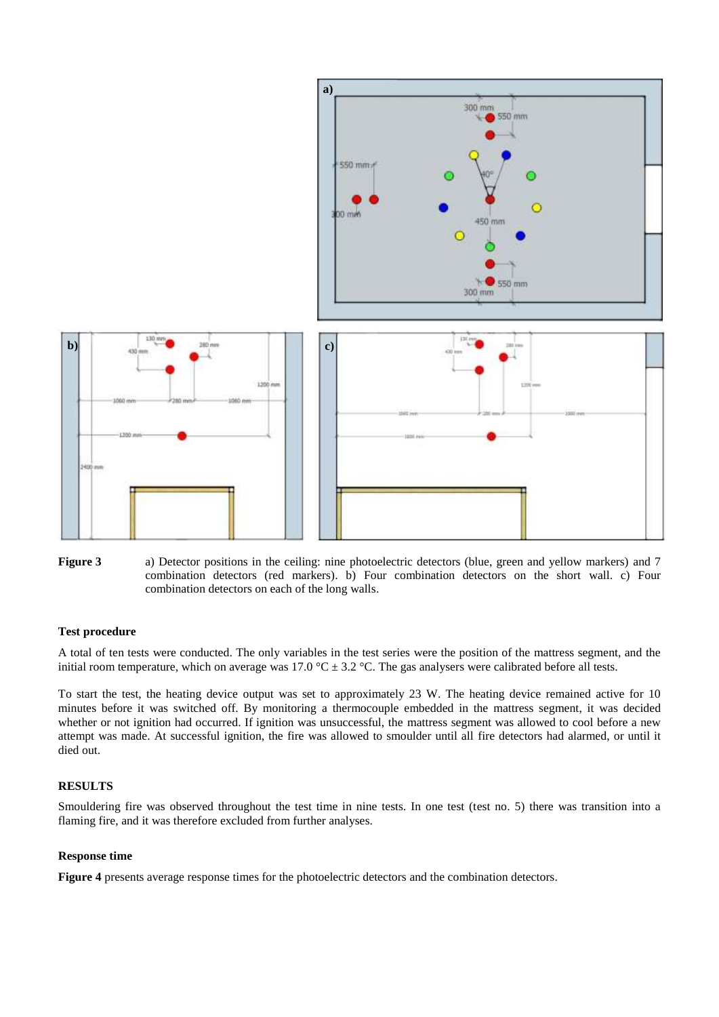

**Figure 3** a) Detector positions in the ceiling: nine photoelectric detectors (blue, green and yellow markers) and 7 combination detectors (red markers). b) Four combination detectors on the short wall. c) Four combination detectors on each of the long walls.

#### **Test procedure**

A total of ten tests were conducted. The only variables in the test series were the position of the mattress segment, and the initial room temperature, which on average was 17.0  $^{\circ}$ C  $\pm$  3.2  $^{\circ}$ C. The gas analysers were calibrated before all tests.

To start the test, the heating device output was set to approximately 23 W. The heating device remained active for 10 minutes before it was switched off. By monitoring a thermocouple embedded in the mattress segment, it was decided whether or not ignition had occurred. If ignition was unsuccessful, the mattress segment was allowed to cool before a new attempt was made. At successful ignition, the fire was allowed to smoulder until all fire detectors had alarmed, or until it died out.

# **RESULTS**

Smouldering fire was observed throughout the test time in nine tests. In one test (test no. 5) there was transition into a flaming fire, and it was therefore excluded from further analyses.

#### **Response time**

**[Figure 4](#page-4-0)** presents average response times for the photoelectric detectors and the combination detectors.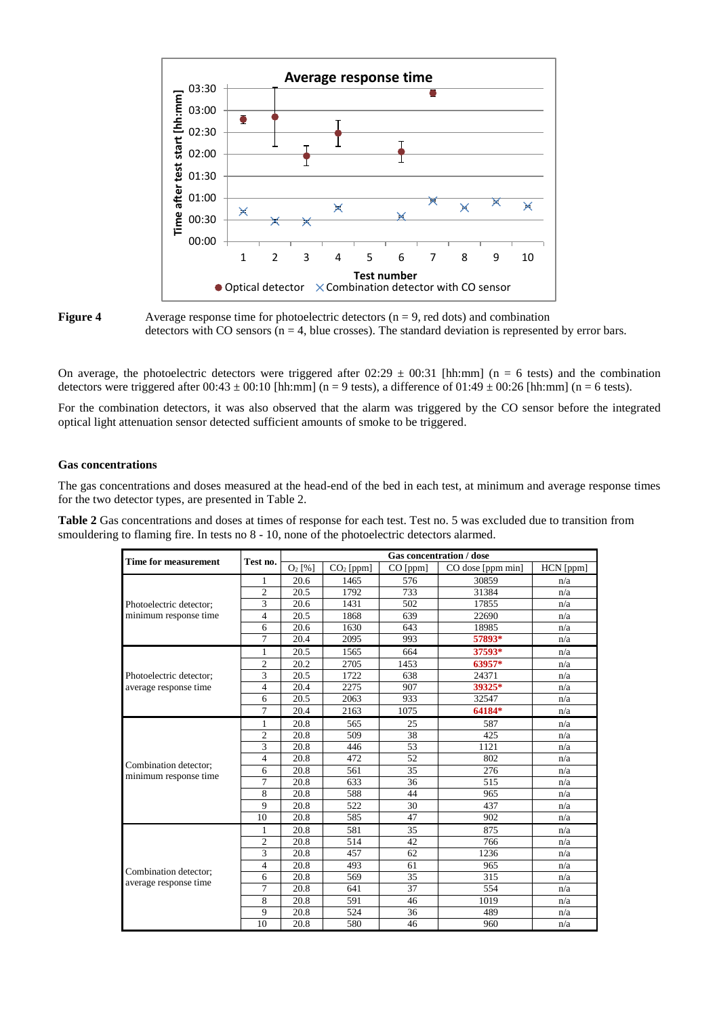

<span id="page-4-0"></span>

On average, the photoelectric detectors were triggered after  $02:29 \pm 00:31$  [hh:mm] (n = 6 tests) and the combination detectors were triggered after  $00:43 \pm 00:10$  [hh:mm] (n = 9 tests), a difference of  $01:49 \pm 00:26$  [hh:mm] (n = 6 tests).

For the combination detectors, it was also observed that the alarm was triggered by the CO sensor before the integrated optical light attenuation sensor detected sufficient amounts of smoke to be triggered.

#### **Gas concentrations**

The gas concentrations and doses measured at the head-end of the bed in each test, at minimum and average response times for the two detector types, are presented in Table 2.

**Table 2** Gas concentrations and doses at times of response for each test. Test no. 5 was excluded due to transition from smouldering to flaming fire. In tests no 8 - 10, none of the photoelectric detectors alarmed.

|                                                |                          | <b>Gas concentration / dose</b> |                         |                 |                   |           |
|------------------------------------------------|--------------------------|---------------------------------|-------------------------|-----------------|-------------------|-----------|
| Time for measurement                           | Test no.                 | $O_2$ [%]                       | $\overline{CO}_2$ [ppm] | CO [ppm]        | CO dose [ppm min] | HCN [ppm] |
|                                                | 1                        | 20.6                            | 1465                    | 576             | 30859             | n/a       |
|                                                | $\mathfrak{2}$           | 20.5                            | 1792                    | 733             | 31384             | n/a       |
| Photoelectric detector:                        | 3                        | 20.6                            | 1431                    | 502             | 17855             | n/a       |
| minimum response time                          | $\overline{\mathcal{L}}$ | 20.5                            | 1868                    | 639             | 22690             | n/a       |
|                                                | 6                        | 20.6                            | 1630                    | 643             | 18985             | n/a       |
|                                                | 7                        | 20.4                            | 2095                    | 993             | 57893*            | n/a       |
|                                                | 1                        | 20.5                            | 1565                    | 664             | 37593*            | n/a       |
|                                                | $\overline{c}$           | 20.2                            | 2705                    | 1453            | 63957*            | n/a       |
| Photoelectric detector;                        | 3                        | 20.5                            | 1722                    | 638             | 24371             | n/a       |
| average response time                          | 4                        | 20.4                            | 2275                    | 907             | 39325*            | n/a       |
|                                                | 6                        | 20.5                            | 2063                    | 933             | 32547             | n/a       |
|                                                | 7                        | 20.4                            | 2163                    | 1075            | 64184*            | n/a       |
|                                                | $\mathbf{1}$             | 20.8                            | 565                     | 25              | 587               | n/a       |
|                                                | $\overline{c}$           | 20.8                            | 509                     | 38              | 425               | n/a       |
|                                                | 3                        | 20.8                            | 446                     | 53              | 1121              | n/a       |
|                                                | $\overline{4}$           | 20.8                            | 472                     | 52              | 802               | n/a       |
| Combination detector:<br>minimum response time | 6                        | 20.8                            | 561                     | $\overline{35}$ | 276               | n/a       |
|                                                | 7                        | 20.8                            | 633                     | 36              | 515               | n/a       |
|                                                | 8                        | 20.8                            | 588                     | 44              | 965               | n/a       |
|                                                | 9                        | 20.8                            | 522                     | 30              | 437               | n/a       |
|                                                | 10                       | 20.8                            | 585                     | 47              | 902               | n/a       |
|                                                | 1                        | 20.8                            | 581                     | 35              | 875               | n/a       |
|                                                | $\overline{c}$           | 20.8                            | 514                     | 42              | 766               | n/a       |
|                                                | 3                        | 20.8                            | 457                     | 62              | 1236              | n/a       |
| Combination detector;                          | $\overline{4}$           | 20.8                            | 493                     | 61              | 965               | n/a       |
| average response time                          | 6                        | 20.8                            | 569                     | $\overline{35}$ | 315               | n/a       |
|                                                | 7                        | 20.8                            | 641                     | 37              | 554               | n/a       |
|                                                | 8                        | 20.8                            | 591                     | 46              | 1019              | n/a       |
|                                                | 9                        | 20.8                            | 524                     | 36              | 489               | n/a       |
|                                                | 10                       | 20.8                            | 580                     | 46              | 960               | n/a       |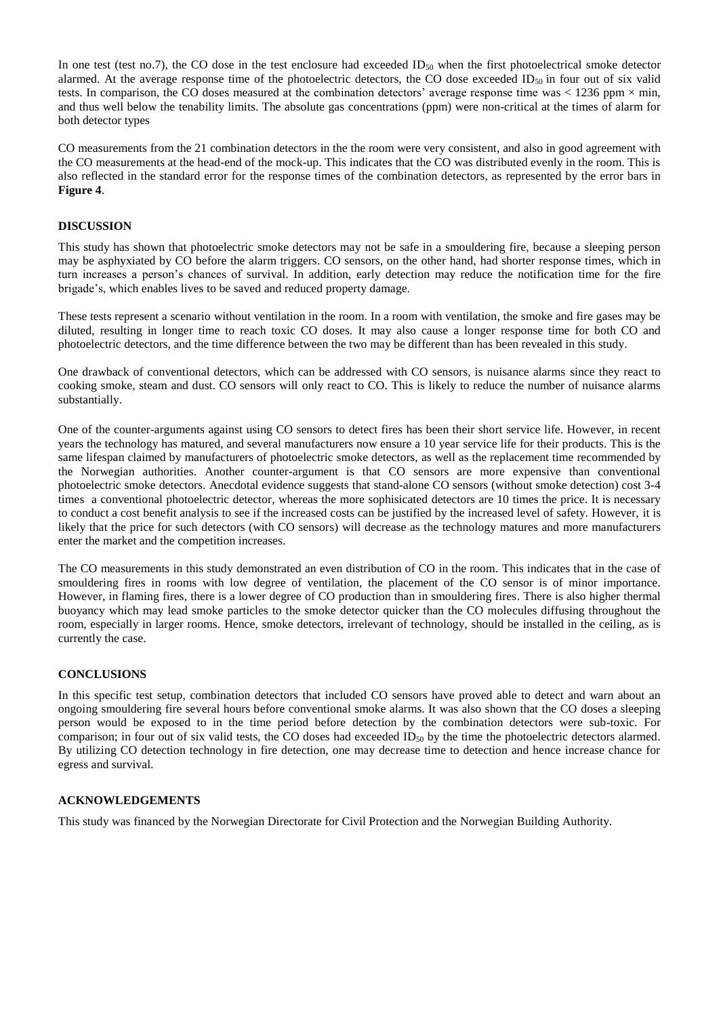In one test (test no.7), the CO dose in the test enclosure had exceeded  $ID_{50}$  when the first photoelectrical smoke detector alarmed. At the average response time of the photoelectric detectors, the CO dose exceeded  $ID_{50}$  in four out of six valid tests. In comparison, the CO doses measured at the combination detectors' average response time was  $< 1236$  ppm  $\times$  min, and thus well below the tenability limits. The absolute gas concentrations (ppm) were non-critical at the times of alarm for both detector types

CO measurements from the 21 combination detectors in the the room were very consistent, and also in good agreement with the CO measurements at the head-end of the mock-up. This indicates that the CO was distributed evenly in the room. This is also reflected in the standard error for the response times of the combination detectors, as represented by the error bars in **[Figure 4](#page-4-0)**.

# **DISCUSSION**

This study has shown that photoelectric smoke detectors may not be safe in a smouldering fire, because a sleeping person may be asphyxiated by CO before the alarm triggers. CO sensors, on the other hand, had shorter response times, which in turn increases a person's chances of survival. In addition, early detection may reduce the notification time for the fire brigade's, which enables lives to be saved and reduced property damage.

These tests represent a scenario without ventilation in the room. In a room with ventilation, the smoke and fire gases may be diluted, resulting in longer time to reach toxic CO doses. It may also cause a longer response time for both CO and photoelectric detectors, and the time difference between the two may be different than has been revealed in this study.

One drawback of conventional detectors, which can be addressed with CO sensors, is nuisance alarms since they react to cooking smoke, steam and dust. CO sensors will only react to CO. This is likely to reduce the number of nuisance alarms substantially.

One of the counter-arguments against using CO sensors to detect fires has been their short service life. However, in recent years the technology has matured, and several manufacturers now ensure a 10 year service life for their products. This is the same lifespan claimed by manufacturers of photoelectric smoke detectors, as well as the replacement time recommended by the Norwegian authorities. Another counter-argument is that CO sensors are more expensive than conventional photoelectric smoke detectors. Anecdotal evidence suggests that stand-alone CO sensors (without smoke detection) cost 3-4 times a conventional photoelectric detector, whereas the more sophisicated detectors are 10 times the price. It is necessary to conduct a cost benefit analysis to see if the increased costs can be justified by the increased level of safety. However, it is likely that the price for such detectors (with CO sensors) will decrease as the technology matures and more manufacturers enter the market and the competition increases.

The CO measurements in this study demonstrated an even distribution of CO in the room. This indicates that in the case of smouldering fires in rooms with low degree of ventilation, the placement of the CO sensor is of minor importance. However, in flaming fires, there is a lower degree of CO production than in smouldering fires. There is also higher thermal buoyancy which may lead smoke particles to the smoke detector quicker than the CO molecules diffusing throughout the room, especially in larger rooms. Hence, smoke detectors, irrelevant of technology, should be installed in the ceiling, as is currently the case.

## **CONCLUSIONS**

In this specific test setup, combination detectors that included CO sensors have proved able to detect and warn about an ongoing smouldering fire several hours before conventional smoke alarms. It was also shown that the CO doses a sleeping person would be exposed to in the time period before detection by the combination detectors were sub-toxic. For comparison; in four out of six valid tests, the CO doses had exceeded  $ID<sub>50</sub>$  by the time the photoelectric detectors alarmed. By utilizing CO detection technology in fire detection, one may decrease time to detection and hence increase chance for egress and survival.

## **ACKNOWLEDGEMENTS**

This study was financed by the Norwegian Directorate for Civil Protection and the Norwegian Building Authority.